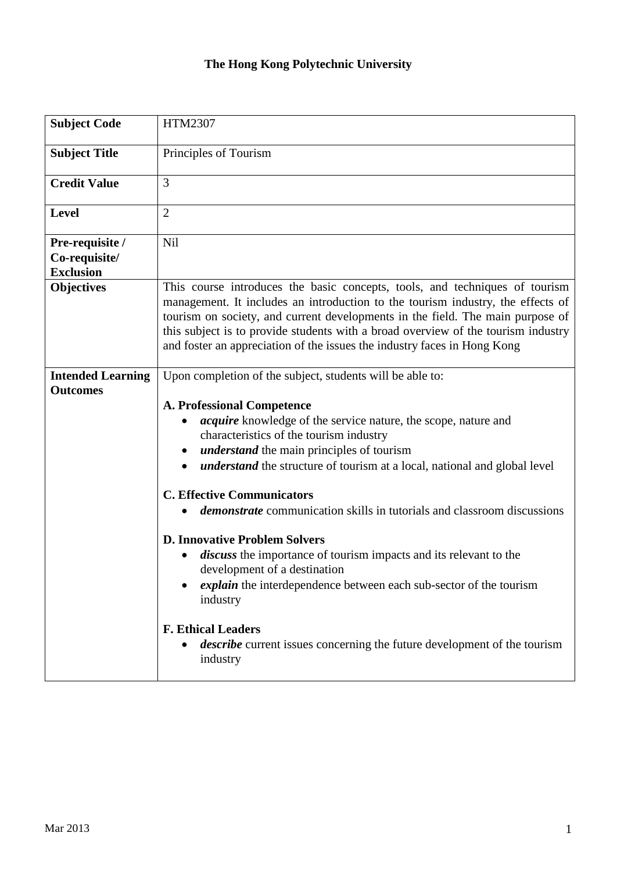## **The Hong Kong Polytechnic University**

| <b>Subject Code</b>                                  | <b>HTM2307</b>                                                                                                                                                                                                                                                                                                                                                                                                                                                                                                                                                                                                                                                                                                                                                                  |  |  |
|------------------------------------------------------|---------------------------------------------------------------------------------------------------------------------------------------------------------------------------------------------------------------------------------------------------------------------------------------------------------------------------------------------------------------------------------------------------------------------------------------------------------------------------------------------------------------------------------------------------------------------------------------------------------------------------------------------------------------------------------------------------------------------------------------------------------------------------------|--|--|
| <b>Subject Title</b>                                 | Principles of Tourism                                                                                                                                                                                                                                                                                                                                                                                                                                                                                                                                                                                                                                                                                                                                                           |  |  |
| <b>Credit Value</b>                                  | 3                                                                                                                                                                                                                                                                                                                                                                                                                                                                                                                                                                                                                                                                                                                                                                               |  |  |
| <b>Level</b>                                         | $\overline{2}$                                                                                                                                                                                                                                                                                                                                                                                                                                                                                                                                                                                                                                                                                                                                                                  |  |  |
| Pre-requisite /<br>Co-requisite/<br><b>Exclusion</b> | Nil                                                                                                                                                                                                                                                                                                                                                                                                                                                                                                                                                                                                                                                                                                                                                                             |  |  |
| <b>Objectives</b>                                    | This course introduces the basic concepts, tools, and techniques of tourism<br>management. It includes an introduction to the tourism industry, the effects of<br>tourism on society, and current developments in the field. The main purpose of<br>this subject is to provide students with a broad overview of the tourism industry<br>and foster an appreciation of the issues the industry faces in Hong Kong                                                                                                                                                                                                                                                                                                                                                               |  |  |
| <b>Intended Learning</b><br><b>Outcomes</b>          | Upon completion of the subject, students will be able to:                                                                                                                                                                                                                                                                                                                                                                                                                                                                                                                                                                                                                                                                                                                       |  |  |
|                                                      | <b>A. Professional Competence</b><br><i>acquire</i> knowledge of the service nature, the scope, nature and<br>characteristics of the tourism industry<br><i>understand</i> the main principles of tourism<br><i>understand</i> the structure of tourism at a local, national and global level<br><b>C. Effective Communicators</b><br><i>demonstrate</i> communication skills in tutorials and classroom discussions<br><b>D. Innovative Problem Solvers</b><br>discuss the importance of tourism impacts and its relevant to the<br>development of a destination<br>explain the interdependence between each sub-sector of the tourism<br>industry<br><b>F. Ethical Leaders</b><br><i>describe</i> current issues concerning the future development of the tourism<br>industry |  |  |